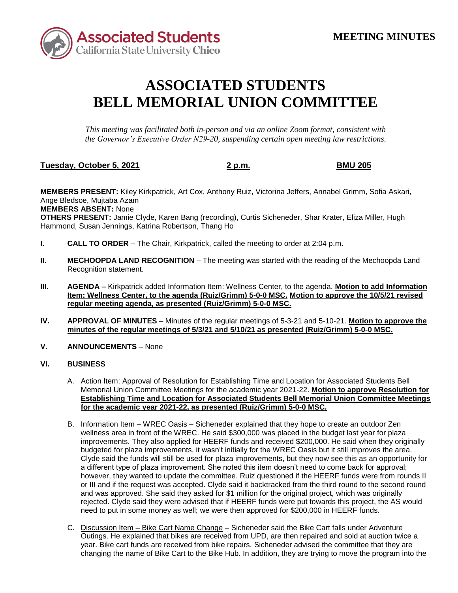

## **ASSOCIATED STUDENTS BELL MEMORIAL UNION COMMITTEE**

*This meeting was facilitated both in-person and via an online Zoom format, consistent with the Governor's Executive Order N29-20, suspending certain open meeting law restrictions.* 

## **Tuesday, October 5, 2021 2 p.m. BMU 205**

**MEMBERS PRESENT:** Kiley Kirkpatrick, Art Cox, Anthony Ruiz, Victorina Jeffers, Annabel Grimm, Sofia Askari, Ange Bledsoe, Mujtaba Azam

**MEMBERS ABSENT:** None

**OTHERS PRESENT:** Jamie Clyde, Karen Bang (recording), Curtis Sicheneder, Shar Krater, Eliza Miller, Hugh Hammond, Susan Jennings, Katrina Robertson, Thang Ho

- **I. CALL TO ORDER**  The Chair, Kirkpatrick, called the meeting to order at 2:04 p.m.
- **II.** MECHOOPDA LAND RECOGNITION The meeting was started with the reading of the Mechoopda Land Recognition statement.
- **III. AGENDA –** Kirkpatrick added Information Item: Wellness Center, to the agenda. **Motion to add Information Item: Wellness Center, to the agenda (Ruiz/Grimm) 5-0-0 MSC. Motion to approve the 10/5/21 revised regular meeting agenda, as presented (Ruiz/Grimm) 5-0-0 MSC.**
- **IV. APPROVAL OF MINUTES**  Minutes of the regular meetings of 5-3-21 and 5-10-21. **Motion to approve the minutes of the regular meetings of 5/3/21 and 5/10/21 as presented (Ruiz/Grimm) 5-0-0 MSC.**
- **V.** ANNOUNCEMENTS None

## **VI. BUSINESS**

- A. Action Item: Approval of Resolution for Establishing Time and Location for Associated Students Bell Memorial Union Committee Meetings for the academic year 2021-22. **Motion to approve Resolution for Establishing Time and Location for Associated Students Bell Memorial Union Committee Meetings for the academic year 2021-22, as presented (Ruiz/Grimm) 5-0-0 MSC.**
- Clyde said the funds will still be used for plaza improvements, but they now see this as an opportunity for a different type of plaza improvement. She noted this item doesn't need to come back for approval; rejected. Clyde said they were advised that if HEERF funds were put towards this project, the AS would B. Information Item – WREC Oasis – Sicheneder explained that they hope to create an outdoor Zen wellness area in front of the WREC. He said \$300,000 was placed in the budget last year for plaza improvements. They also applied for HEERF funds and received \$200,000. He said when they originally budgeted for plaza improvements, it wasn't initially for the WREC Oasis but it still improves the area. however, they wanted to update the committee. Ruiz questioned if the HEERF funds were from rounds II or III and if the request was accepted. Clyde said it backtracked from the third round to the second round and was approved. She said they asked for \$1 million for the original project, which was originally need to put in some money as well; we were then approved for \$200,000 in HEERF funds.
- C. Discussion Item Bike Cart Name Change Sicheneder said the Bike Cart falls under Adventure Outings. He explained that bikes are received from UPD, are then repaired and sold at auction twice a year. Bike cart funds are received from bike repairs. Sicheneder advised the committee that they are changing the name of Bike Cart to the Bike Hub. In addition, they are trying to move the program into the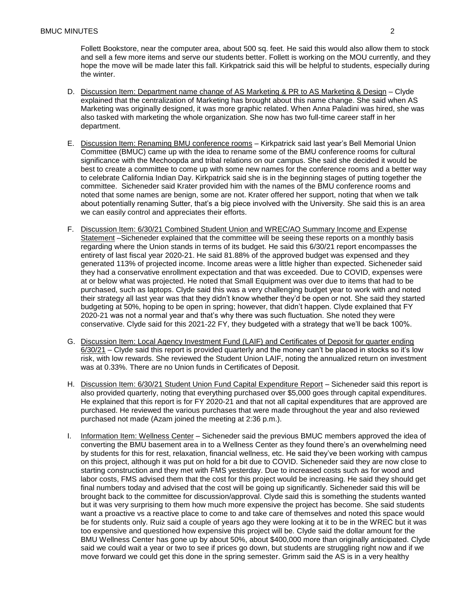and sell a few more items and serve our students better. Follett is working on the MOU currently, and they hope the move will be made later this fall. Kirkpatrick said this will be helpful to students, especially during Follett Bookstore, near the computer area, about 500 sq. feet. He said this would also allow them to stock the winter.

- D. Discussion Item: Department name change of AS Marketing & PR to AS Marketing & Design Clyde Marketing was originally designed, it was more graphic related. When Anna Paladini was hired, she was also tasked with marketing the whole organization. She now has two full-time career staff in her explained that the centralization of Marketing has brought about this name change. She said when AS department.
- Committee (BMUC) came up with the idea to rename some of the BMU conference rooms for cultural best to create a committee to come up with some new names for the conference rooms and a better way to celebrate California Indian Day. Kirkpatrick said she is in the beginning stages of putting together the noted that some names are benign, some are not. Krater offered her support, noting that when we talk about potentially renaming Sutter, that's a big piece involved with the University. She said this is an area E. Discussion Item: Renaming BMU conference rooms – Kirkpatrick said last year's Bell Memorial Union significance with the Mechoopda and tribal relations on our campus. She said she decided it would be committee. Sicheneder said Krater provided him with the names of the BMU conference rooms and we can easily control and appreciates their efforts.
- Statement –Sicheneder explained that the committee will be seeing these reports on a monthly basis regarding where the Union stands in terms of its budget. He said this 6/30/21 report encompasses the F. Discussion Item: 6/30/21 Combined Student Union and WREC/AO Summary Income and Expense entirety of last fiscal year 2020-21. He said 81.88% of the approved budget was expensed and they generated 113% of projected income. Income areas were a little higher than expected. Sicheneder said they had a conservative enrollment expectation and that was exceeded. Due to COVID, expenses were at or below what was projected. He noted that Small Equipment was over due to items that had to be purchased, such as laptops. Clyde said this was a very challenging budget year to work with and noted their strategy all last year was that they didn't know whether they'd be open or not. She said they started budgeting at 50%, hoping to be open in spring; however, that didn't happen. Clyde explained that FY 2020-21 was not a normal year and that's why there was such fluctuation. She noted they were conservative. Clyde said for this 2021-22 FY, they budgeted with a strategy that we'll be back 100%.
- G. Discussion Item: Local Agency Investment Fund (LAIF) and Certificates of Deposit for quarter ending 6/30/21 – Clyde said this report is provided quarterly and the money can't be placed in stocks so it's low risk, with low rewards. She reviewed the Student Union LAIF, noting the annualized return on investment was at 0.33%. There are no Union funds in Certificates of Deposit.
- H. Discussion Item: 6/30/21 Student Union Fund Capital Expenditure Report Sicheneder said this report is also provided quarterly, noting that everything purchased over \$5,000 goes through capital expenditures. He explained that this report is for FY 2020-21 and that not all capital expenditures that are approved are purchased. He reviewed the various purchases that were made throughout the year and also reviewed purchased not made (Azam joined the meeting at 2:36 p.m.).
- I. Information Item: Wellness Center Sicheneder said the previous BMUC members approved the idea of be for students only. Ruiz said a couple of years ago they were looking at it to be in the WREC but it was too expensive and questioned how expensive this project will be. Clyde said the dollar amount for the move forward we could get this done in the spring semester. Grimm said the AS is in a very healthy converting the BMU basement area in to a Wellness Center as they found there's an overwhelming need by students for this for rest, relaxation, financial wellness, etc. He said they've been working with campus on this project, although it was put on hold for a bit due to COVID. Sicheneder said they are now close to starting construction and they met with FMS yesterday. Due to increased costs such as for wood and labor costs, FMS advised them that the cost for this project would be increasing. He said they should get final numbers today and advised that the cost will be going up significantly. Sicheneder said this will be brought back to the committee for discussion/approval. Clyde said this is something the students wanted but it was very surprising to them how much more expensive the project has become. She said students want a proactive vs a reactive place to come to and take care of themselves and noted this space would BMU Wellness Center has gone up by about 50%, about \$400,000 more than originally anticipated. Clyde said we could wait a year or two to see if prices go down, but students are struggling right now and if we